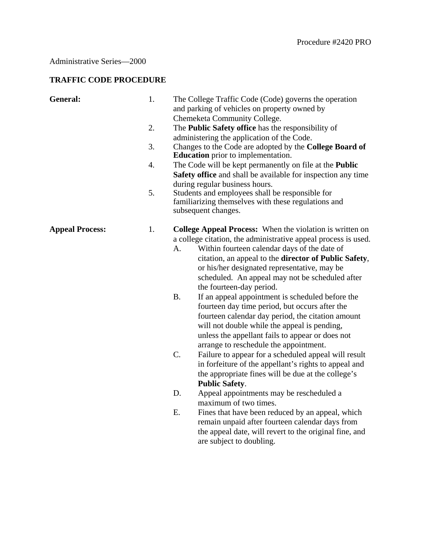## Administrative Series—2000

## **TRAFFIC CODE PROCEDURE**

| General:               | 1. |                                                                            | The College Traffic Code (Code) governs the operation<br>and parking of vehicles on property owned by<br>Chemeketa Community College. |
|------------------------|----|----------------------------------------------------------------------------|---------------------------------------------------------------------------------------------------------------------------------------|
|                        | 2. |                                                                            | The <b>Public Safety office</b> has the responsibility of                                                                             |
|                        |    |                                                                            | administering the application of the Code.                                                                                            |
|                        | 3. |                                                                            | Changes to the Code are adopted by the College Board of                                                                               |
|                        |    |                                                                            | <b>Education</b> prior to implementation.                                                                                             |
|                        | 4. | The Code will be kept permanently on file at the <b>Public</b>             |                                                                                                                                       |
|                        |    |                                                                            | Safety office and shall be available for inspection any time<br>during regular business hours.                                        |
|                        | 5. |                                                                            | Students and employees shall be responsible for                                                                                       |
|                        |    | familiarizing themselves with these regulations and<br>subsequent changes. |                                                                                                                                       |
| <b>Appeal Process:</b> | 1. |                                                                            | <b>College Appeal Process:</b> When the violation is written on                                                                       |
|                        |    |                                                                            | a college citation, the administrative appeal process is used.                                                                        |
|                        |    | A.                                                                         | Within fourteen calendar days of the date of                                                                                          |
|                        |    |                                                                            | citation, an appeal to the <b>director of Public Safety</b> ,                                                                         |
|                        |    |                                                                            | or his/her designated representative, may be<br>scheduled. An appeal may not be scheduled after                                       |
|                        |    |                                                                            | the fourteen-day period.                                                                                                              |
|                        |    | <b>B.</b>                                                                  | If an appeal appointment is scheduled before the                                                                                      |
|                        |    |                                                                            | fourteen day time period, but occurs after the                                                                                        |
|                        |    |                                                                            | fourteen calendar day period, the citation amount                                                                                     |
|                        |    |                                                                            | will not double while the appeal is pending,                                                                                          |
|                        |    |                                                                            | unless the appellant fails to appear or does not                                                                                      |
|                        |    |                                                                            | arrange to reschedule the appointment.                                                                                                |
|                        |    | C.                                                                         | Failure to appear for a scheduled appeal will result                                                                                  |
|                        |    |                                                                            | in forfeiture of the appellant's rights to appeal and                                                                                 |
|                        |    |                                                                            | the appropriate fines will be due at the college's                                                                                    |
|                        |    |                                                                            | <b>Public Safety.</b>                                                                                                                 |
|                        |    | D.                                                                         | Appeal appointments may be rescheduled a                                                                                              |
|                        |    |                                                                            | maximum of two times.                                                                                                                 |
|                        |    | Ε.                                                                         | Fines that have been reduced by an appeal, which                                                                                      |
|                        |    |                                                                            | remain unpaid after fourteen calendar days from                                                                                       |
|                        |    |                                                                            | the appeal date, will revert to the original fine, and                                                                                |
|                        |    |                                                                            | are subject to doubling.                                                                                                              |